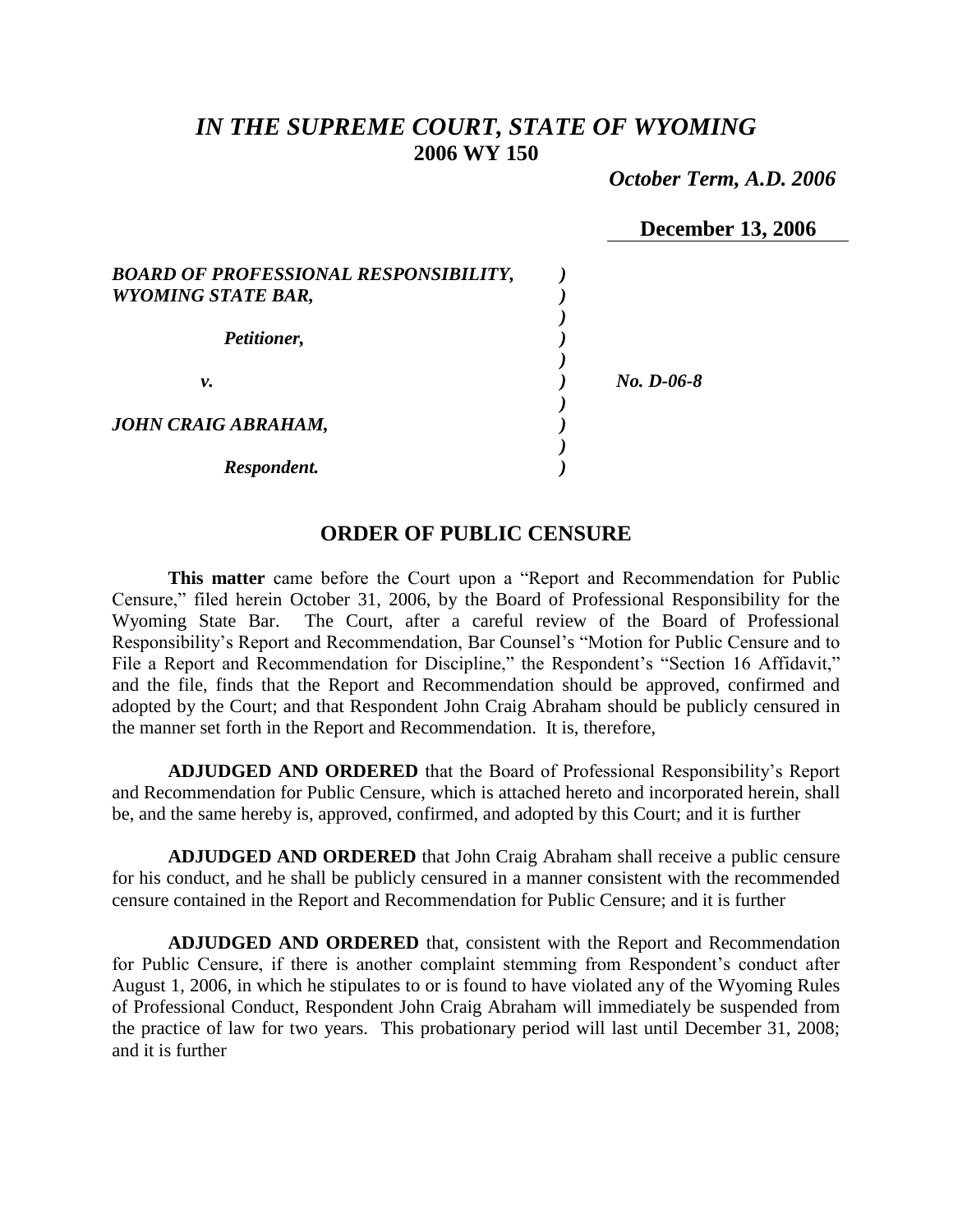# *IN THE SUPREME COURT, STATE OF WYOMING* **2006 WY 150**

 *October Term, A.D. 2006*

|  | <b>December 13, 2006</b> |
|--|--------------------------|
|--|--------------------------|

| <b>BOARD OF PROFESSIONAL RESPONSIBILITY,</b><br><b>WYOMING STATE BAR,</b> |              |
|---------------------------------------------------------------------------|--------------|
| Petitioner,                                                               |              |
| ν.                                                                        | $No. D-06-8$ |
| <b>JOHN CRAIG ABRAHAM,</b>                                                |              |
| Respondent.                                                               |              |

# **ORDER OF PUBLIC CENSURE**

**This matter** came before the Court upon a "Report and Recommendation for Public Censure," filed herein October 31, 2006, by the Board of Professional Responsibility for the Wyoming State Bar. The Court, after a careful review of the Board of Professional Responsibility's Report and Recommendation, Bar Counsel's "Motion for Public Censure and to File a Report and Recommendation for Discipline," the Respondent's "Section 16 Affidavit," and the file, finds that the Report and Recommendation should be approved, confirmed and adopted by the Court; and that Respondent John Craig Abraham should be publicly censured in the manner set forth in the Report and Recommendation. It is, therefore,

**ADJUDGED AND ORDERED** that the Board of Professional Responsibility's Report and Recommendation for Public Censure, which is attached hereto and incorporated herein, shall be, and the same hereby is, approved, confirmed, and adopted by this Court; and it is further

**ADJUDGED AND ORDERED** that John Craig Abraham shall receive a public censure for his conduct, and he shall be publicly censured in a manner consistent with the recommended censure contained in the Report and Recommendation for Public Censure; and it is further

**ADJUDGED AND ORDERED** that, consistent with the Report and Recommendation for Public Censure, if there is another complaint stemming from Respondent's conduct after August 1, 2006, in which he stipulates to or is found to have violated any of the Wyoming Rules of Professional Conduct, Respondent John Craig Abraham will immediately be suspended from the practice of law for two years. This probationary period will last until December 31, 2008; and it is further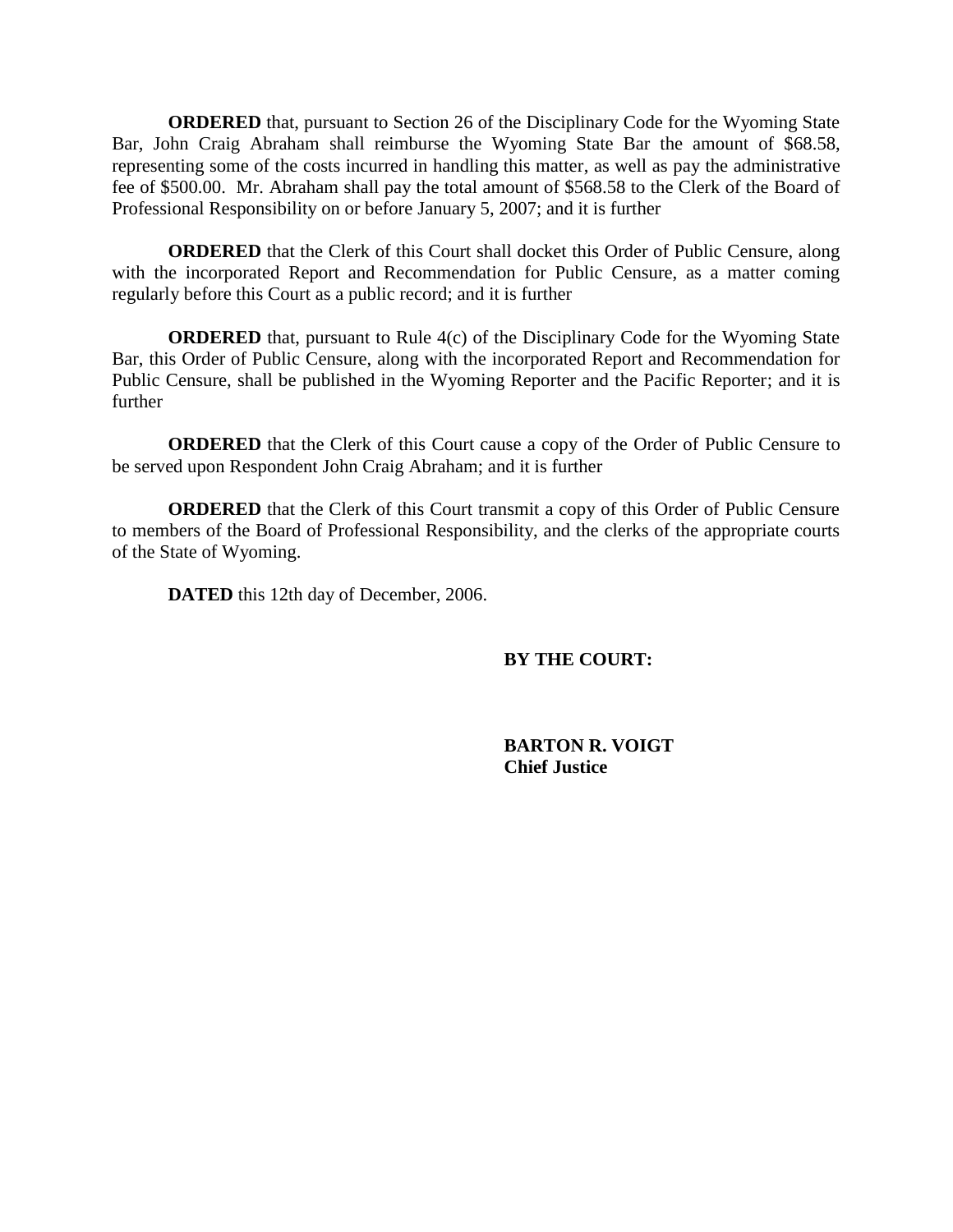**ORDERED** that, pursuant to Section 26 of the Disciplinary Code for the Wyoming State Bar, John Craig Abraham shall reimburse the Wyoming State Bar the amount of \$68.58, representing some of the costs incurred in handling this matter, as well as pay the administrative fee of \$500.00. Mr. Abraham shall pay the total amount of \$568.58 to the Clerk of the Board of Professional Responsibility on or before January 5, 2007; and it is further

**ORDERED** that the Clerk of this Court shall docket this Order of Public Censure, along with the incorporated Report and Recommendation for Public Censure, as a matter coming regularly before this Court as a public record; and it is further

**ORDERED** that, pursuant to Rule 4(c) of the Disciplinary Code for the Wyoming State Bar, this Order of Public Censure, along with the incorporated Report and Recommendation for Public Censure, shall be published in the Wyoming Reporter and the Pacific Reporter; and it is further

**ORDERED** that the Clerk of this Court cause a copy of the Order of Public Censure to be served upon Respondent John Craig Abraham; and it is further

**ORDERED** that the Clerk of this Court transmit a copy of this Order of Public Censure to members of the Board of Professional Responsibility, and the clerks of the appropriate courts of the State of Wyoming.

**DATED** this 12th day of December, 2006.

## **BY THE COURT:**

**BARTON R. VOIGT Chief Justice**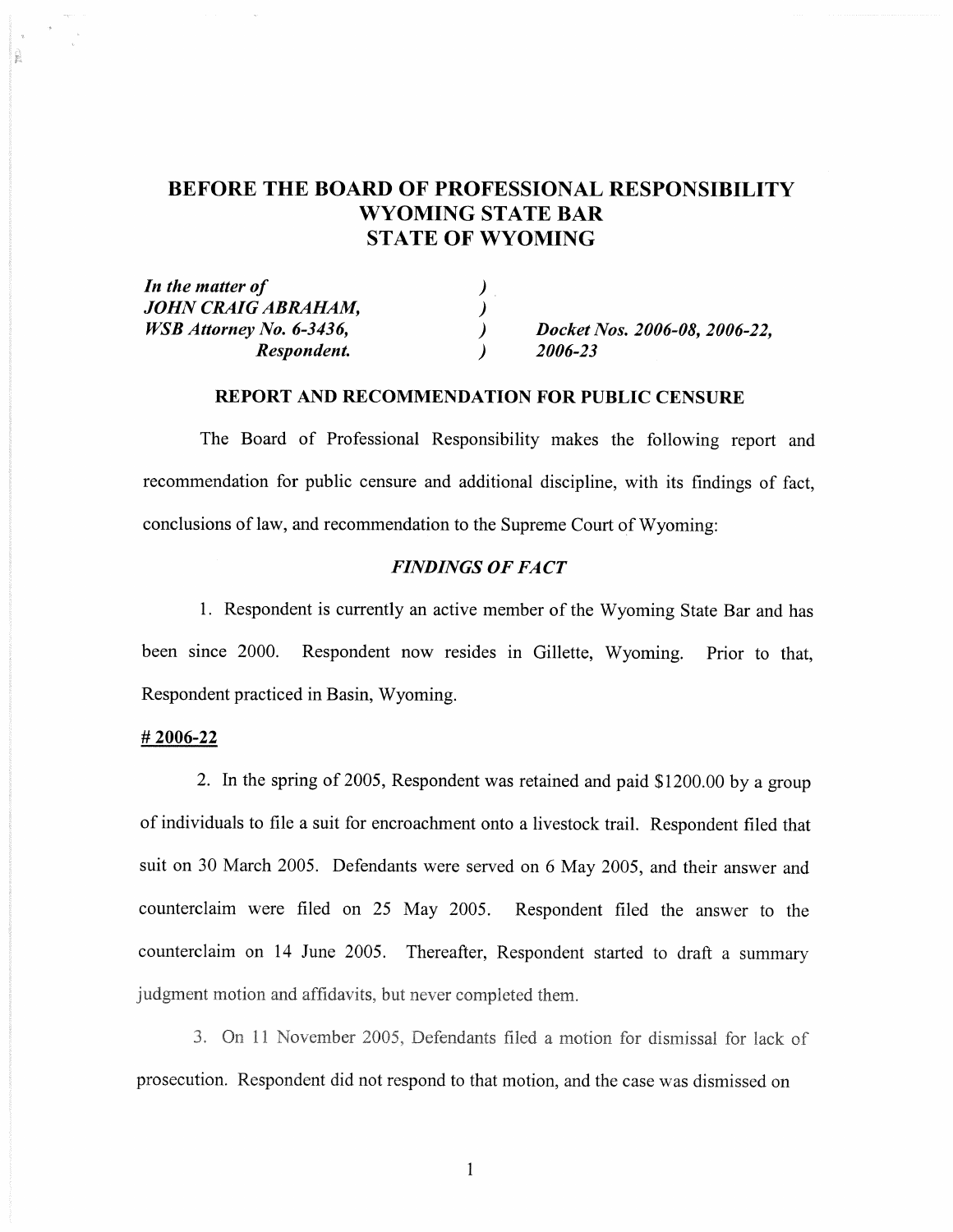# **BEFORE THE BOARD OF PROFESSIONAL RESPONSIBILITY** WYOMING STATE BAR **STATE OF WYOMING**

| In the matter of                |                               |
|---------------------------------|-------------------------------|
| JOHN CRAIG ABRAHAM,             |                               |
| <i>WSB Attorney No. 6-3436,</i> | Docket Nos. 2006-08, 2006-22. |
| Respondent.                     | 2006-23                       |

### **REPORT AND RECOMMENDATION FOR PUBLIC CENSURE**

The Board of Professional Responsibility makes the following report and recommendation for public censure and additional discipline, with its findings of fact, conclusions of law, and recommendation to the Supreme Court of Wyoming:

## **FINDINGS OF FACT**

1. Respondent is currently an active member of the Wyoming State Bar and has been since 2000. Respondent now resides in Gillette, Wyoming. Prior to that. Respondent practiced in Basin, Wyoming.

#### #2006-22

2. In the spring of 2005, Respondent was retained and paid \$1200.00 by a group of individuals to file a suit for encroachment onto a livestock trail. Respondent filed that suit on 30 March 2005. Defendants were served on 6 May 2005, and their answer and counterclaim were filed on 25 May 2005. Respondent filed the answer to the counterclaim on 14 June 2005. Thereafter, Respondent started to draft a summary judgment motion and affidavits, but never completed them.

3. On 11 November 2005, Defendants filed a motion for dismissal for lack of prosecution. Respondent did not respond to that motion, and the case was dismissed on

 $\mathbf{1}$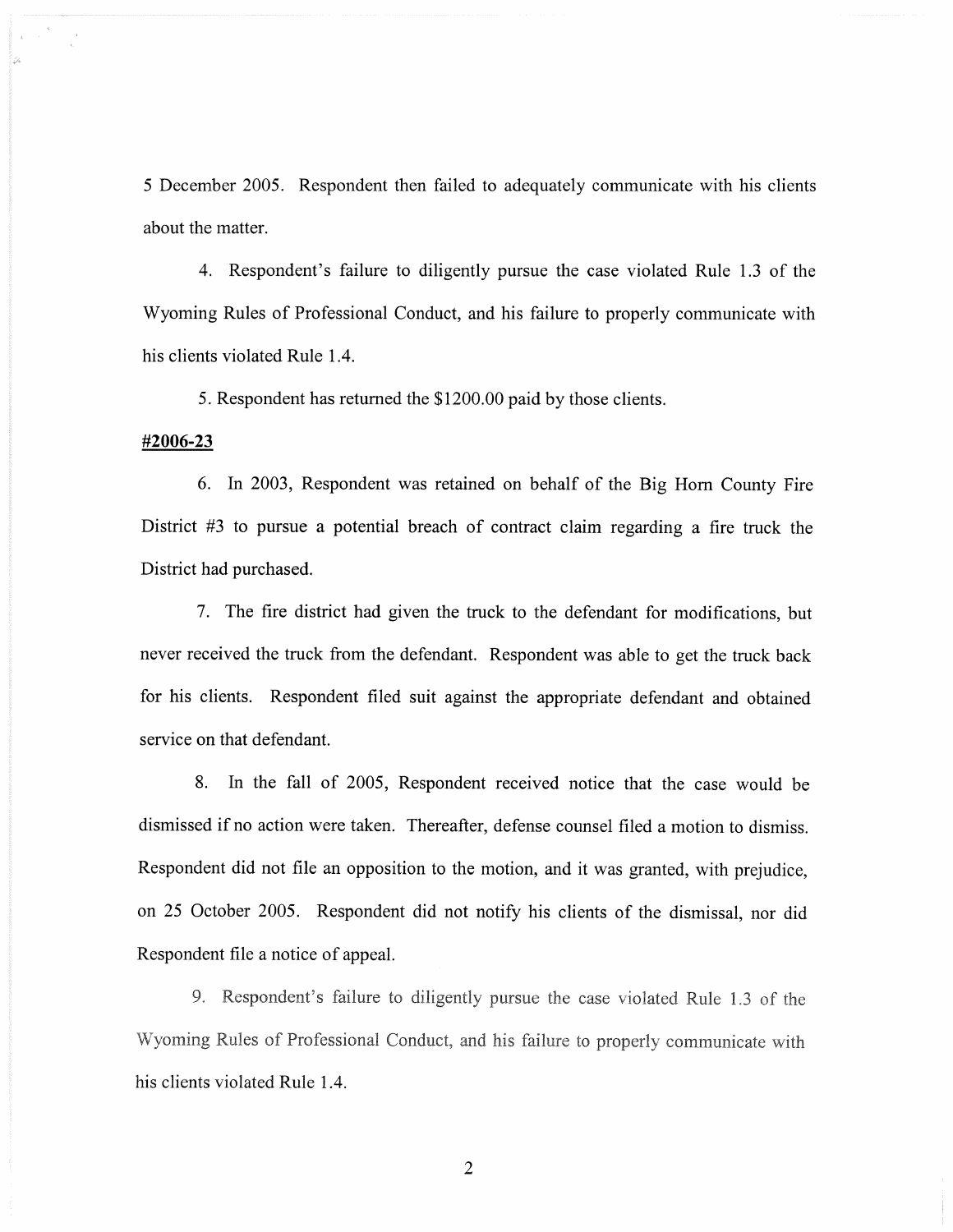5 December 2005. Respondent then failed to adequately communicate with his clients about the matter.

4. Respondent's failure to diligently pursue the case violated Rule 1.3 of the Wyoming Rules of Professional Conduct, and his failure to properly communicate with his clients violated Rule 1.4.

5. Respondent has returned the \$1200.00 paid by those clients.

### #2006-23

6. In 2003, Respondent was retained on behalf of the Big Horn County Fire District  $#3$  to pursue a potential breach of contract claim regarding a fire truck the District had purchased.

7. The fire district had given the truck to the defendant for modifications, but never received the truck from the defendant. Respondent was able to get the truck back for his clients. Respondent filed suit against the appropriate defendant and obtained service on that defendant.

8. In the fall of 2005, Respondent received notice that the case would be dismissed if no action were taken. Thereafter, defense counsel filed a motion to dismiss. Respondent did not file an opposition to the motion, and it was granted, with prejudice, on 25 October 2005. Respondent did not notify his clients of the dismissal, nor did Respondent file a notice of appeal.

9. Respondent's failure to diligently pursue the case violated Rule 1.3 of the Wyoming Rules of Professional Conduct, and his failure to properly communicate with his clients violated Rule 1.4.

 $\overline{2}$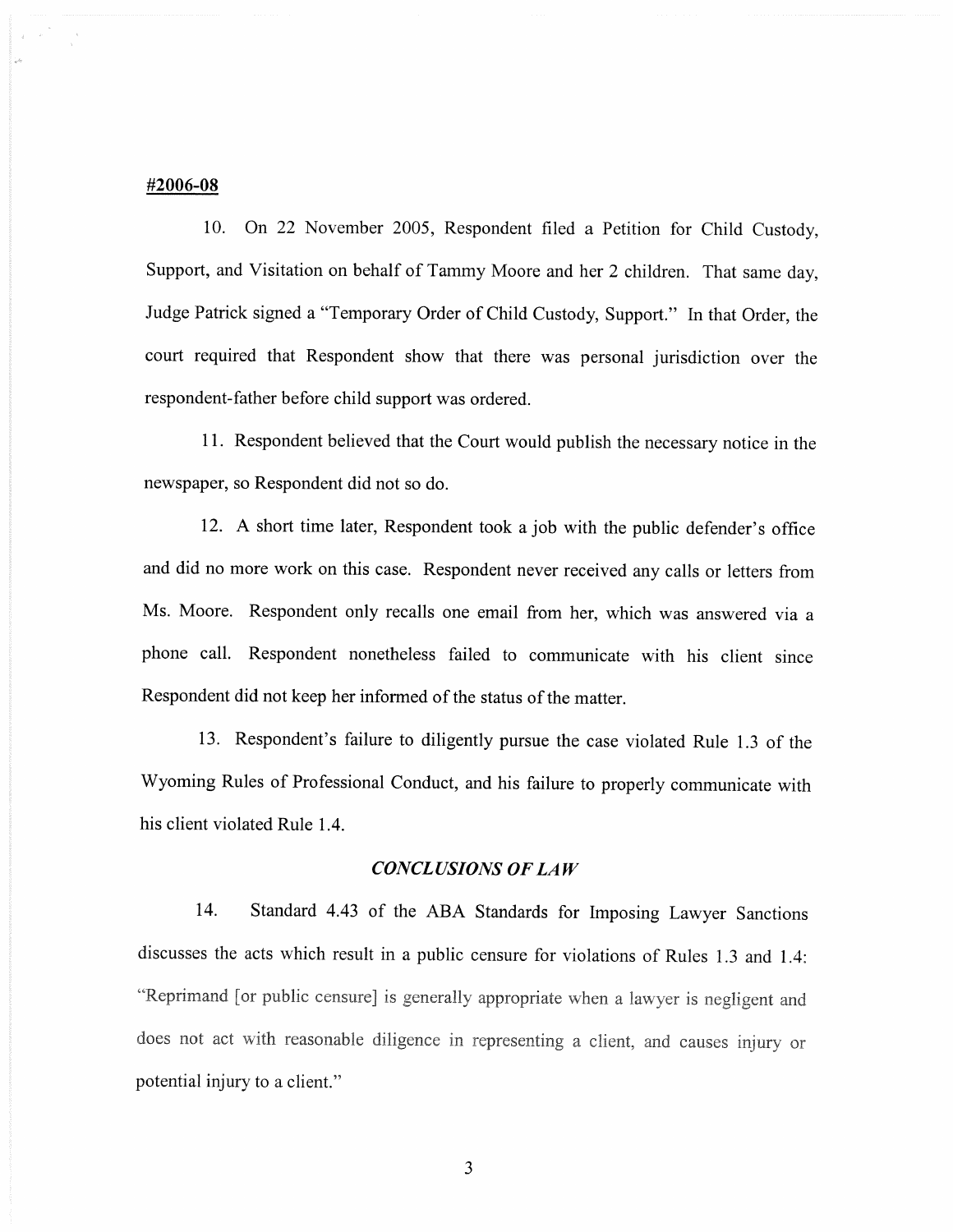#### #2006-08

10. On 22 November 2005, Respondent filed a Petition for Child Custody, Support, and Visitation on behalf of Tammy Moore and her 2 children. That same day, Judge Patrick signed a "Temporary Order of Child Custody, Support." In that Order, the court required that Respondent show that there was personal jurisdiction over the respondent-father before child support was ordered.

11. Respondent believed that the Court would publish the necessary notice in the newspaper, so Respondent did not so do.

12. A short time later, Respondent took a job with the public defender's office and did no more work on this case. Respondent never received any calls or letters from Ms. Moore. Respondent only recalls one email from her, which was answered via a phone call. Respondent nonetheless failed to communicate with his client since Respondent did not keep her informed of the status of the matter.

13. Respondent's failure to diligently pursue the case violated Rule 1.3 of the Wyoming Rules of Professional Conduct, and his failure to properly communicate with his client violated Rule 1.4.

### **CONCLUSIONS OF LAW**

14. Standard 4.43 of the ABA Standards for Imposing Lawyer Sanctions discusses the acts which result in a public censure for violations of Rules 1.3 and 1.4: "Reprimand [or public censure] is generally appropriate when a lawyer is negligent and does not act with reasonable diligence in representing a client, and causes injury or potential injury to a client."

3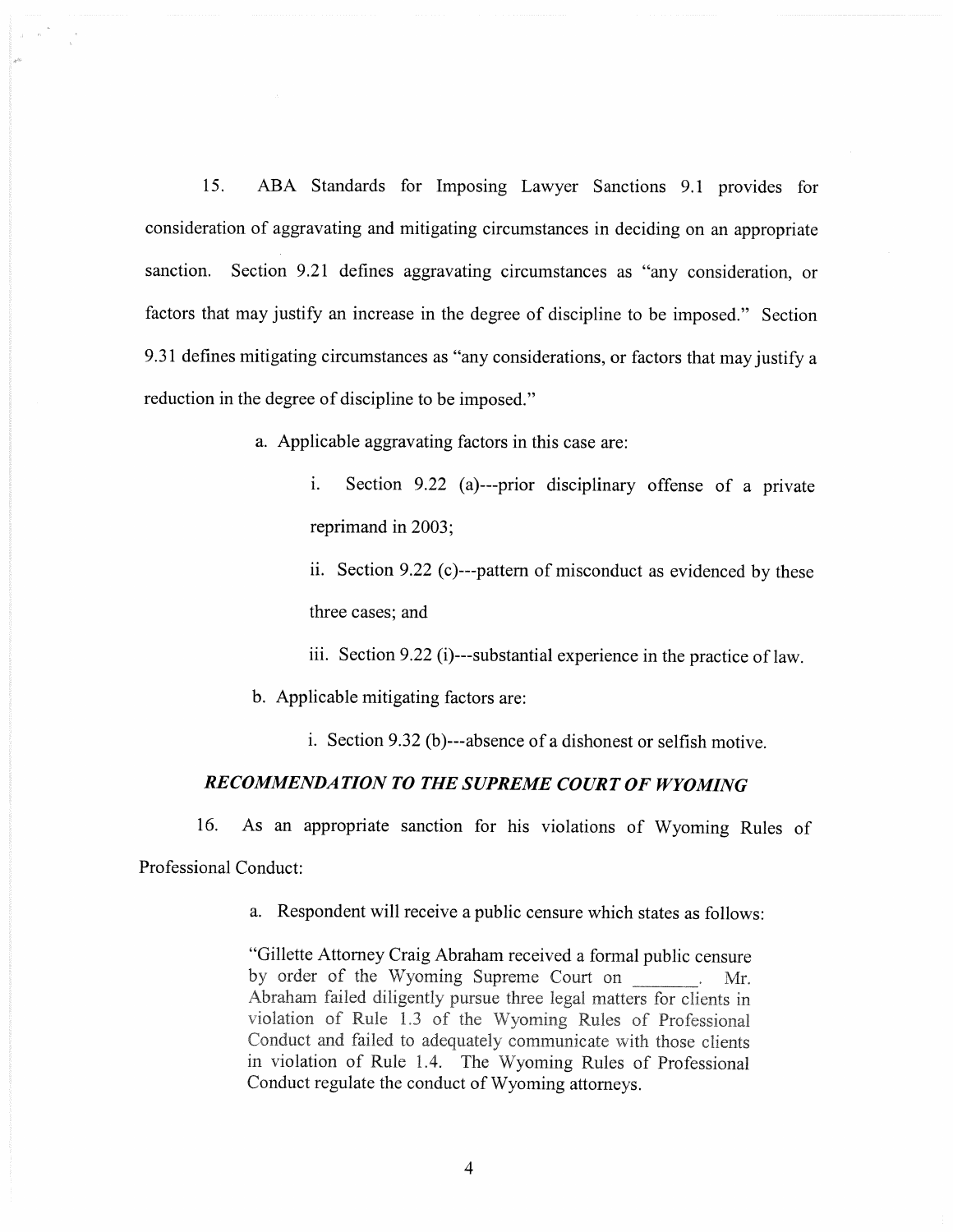$15.$ ABA Standards for Imposing Lawyer Sanctions 9.1 provides for consideration of aggravating and mitigating circumstances in deciding on an appropriate sanction. Section 9.21 defines aggravating circumstances as "any consideration, or factors that may justify an increase in the degree of discipline to be imposed." Section 9.31 defines mitigating circumstances as "any considerations, or factors that may justify a reduction in the degree of discipline to be imposed."

a. Applicable aggravating factors in this case are:

 $\mathbf{i}$ . Section 9.22 (a)---prior disciplinary offense of a private reprimand in 2003;

ii. Section 9.22 (c)---pattern of misconduct as evidenced by these three cases; and

iii. Section 9.22 (i)---substantial experience in the practice of law.

b. Applicable mitigating factors are:

i. Section 9.32 (b)---absence of a dishonest or selfish motive.

## RECOMMENDATION TO THE SUPREME COURT OF WYOMING

As an appropriate sanction for his violations of Wyoming Rules of 16. Professional Conduct:

a. Respondent will receive a public censure which states as follows:

"Gillette Attorney Craig Abraham received a formal public censure by order of the Wyoming Supreme Court on \_\_\_\_\_\_. Mr. Abraham failed diligently pursue three legal matters for clients in violation of Rule 1.3 of the Wyoming Rules of Professional Conduct and failed to adequately communicate with those clients in violation of Rule 1.4. The Wyoming Rules of Professional Conduct regulate the conduct of Wyoming attorneys.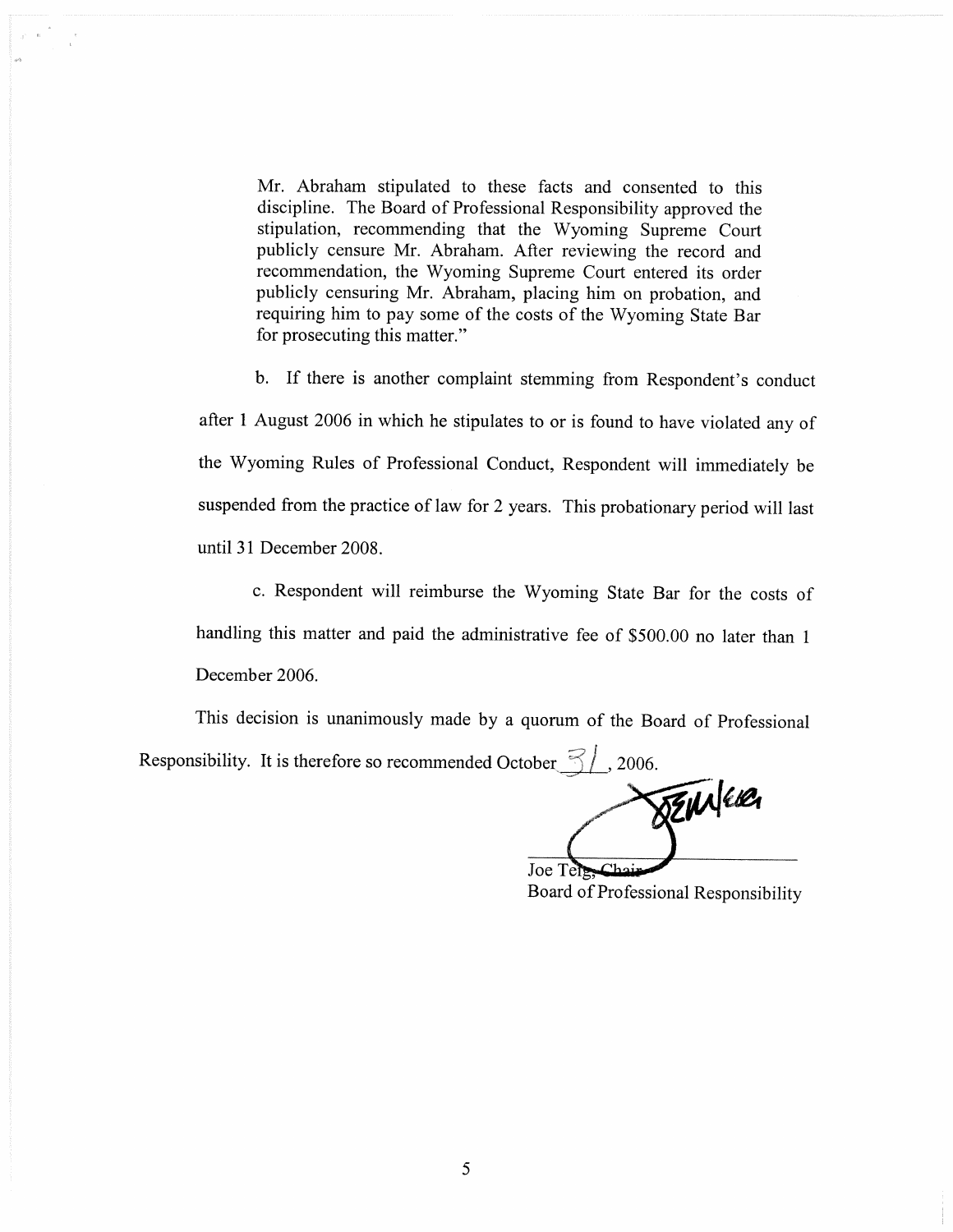Mr. Abraham stipulated to these facts and consented to this discipline. The Board of Professional Responsibility approved the stipulation, recommending that the Wyoming Supreme Court publicly censure Mr. Abraham. After reviewing the record and recommendation, the Wyoming Supreme Court entered its order publicly censuring Mr. Abraham, placing him on probation, and requiring him to pay some of the costs of the Wyoming State Bar for prosecuting this matter."

b. If there is another complaint stemming from Respondent's conduct after 1 August 2006 in which he stipulates to or is found to have violated any of the Wyoming Rules of Professional Conduct, Respondent will immediately be suspended from the practice of law for 2 years. This probationary period will last until 31 December 2008.

c. Respondent will reimburse the Wyoming State Bar for the costs of handling this matter and paid the administrative fee of \$500.00 no later than 1 December 2006.

This decision is unanimously made by a quorum of the Board of Professional Responsibility. It is therefore so recommended October  $\approx$  / , 2006.

**SENNERA** Joe Ten

Board of Professional Responsibility